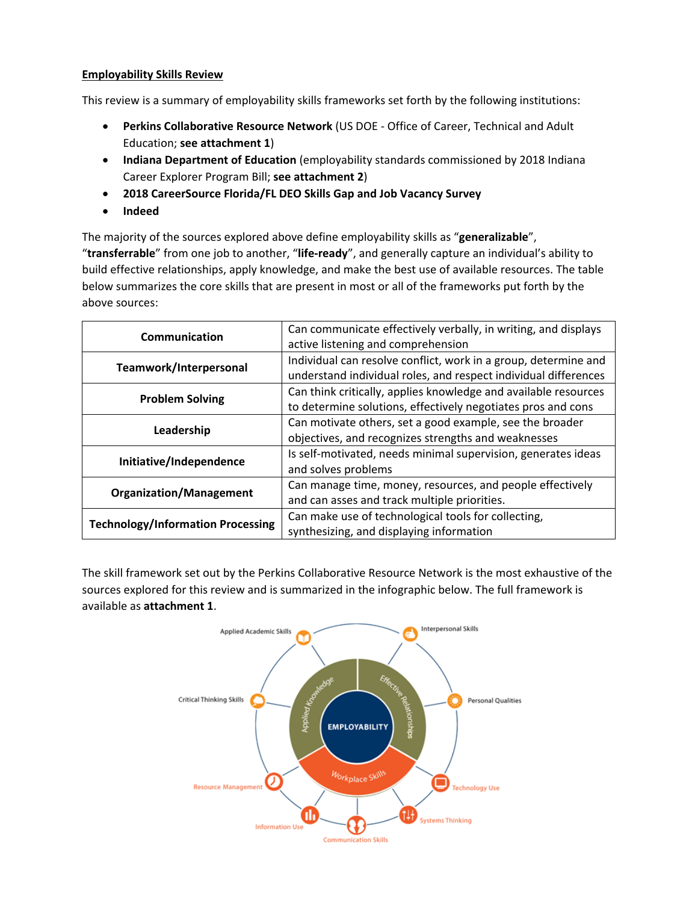### **Employability Skills Review**

This review is a summary of employability skills frameworks set forth by the following institutions:

- **Perkins Collaborative Resource Network** (US DOE Office of Career, Technical and Adult Education; **see attachment 1**)
- **Indiana Department of Education** (employability standards commissioned by 2018 Indiana Career Explorer Program Bill; **see attachment 2**)
- **2018 CareerSource Florida/FL DEO Skills Gap and Job Vacancy Survey**
- **Indeed**

The majority of the sources explored above define employability skills as "**generalizable**", "**transferrable**" from one job to another, "**life-ready**", and generally capture an individual's ability to build effective relationships, apply knowledge, and make the best use of available resources. The table below summarizes the core skills that are present in most or all of the frameworks put forth by the above sources:

| Communication                            | Can communicate effectively verbally, in writing, and displays  |
|------------------------------------------|-----------------------------------------------------------------|
|                                          | active listening and comprehension                              |
| Teamwork/Interpersonal                   | Individual can resolve conflict, work in a group, determine and |
|                                          | understand individual roles, and respect individual differences |
| <b>Problem Solving</b>                   | Can think critically, applies knowledge and available resources |
|                                          | to determine solutions, effectively negotiates pros and cons    |
| Leadership                               | Can motivate others, set a good example, see the broader        |
|                                          | objectives, and recognizes strengths and weaknesses             |
| Initiative/Independence                  | Is self-motivated, needs minimal supervision, generates ideas   |
|                                          | and solves problems                                             |
| <b>Organization/Management</b>           | Can manage time, money, resources, and people effectively       |
|                                          | and can asses and track multiple priorities.                    |
| <b>Technology/Information Processing</b> | Can make use of technological tools for collecting,             |
|                                          | synthesizing, and displaying information                        |

The skill framework set out by the Perkins Collaborative Resource Network is the most exhaustive of the sources explored for this review and is summarized in the infographic below. The full framework is available as **attachment 1**.

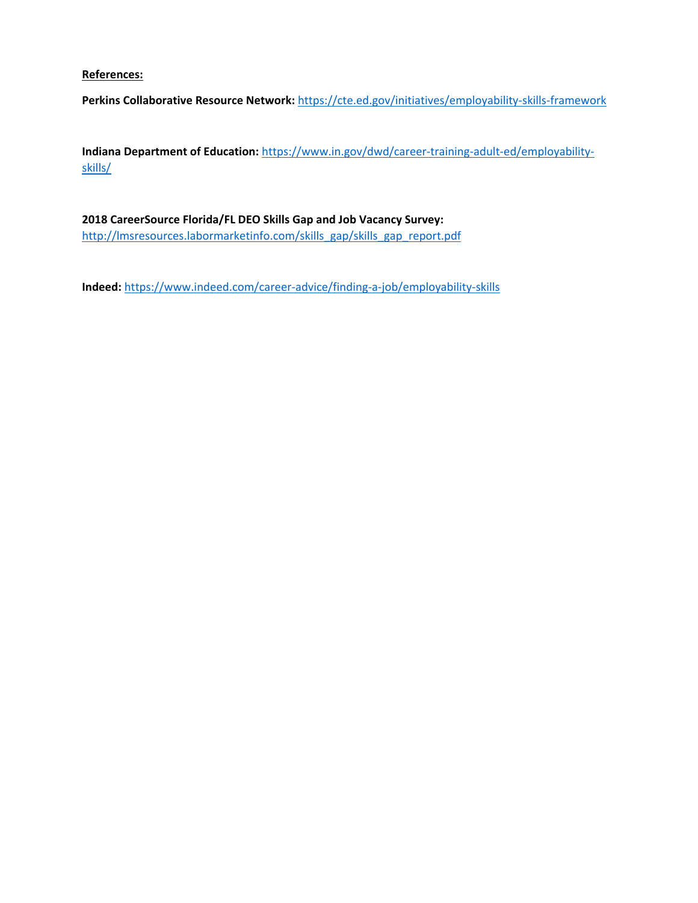### **References:**

**Perkins Collaborative Resource Network:** <https://cte.ed.gov/initiatives/employability-skills-framework>

**Indiana Department of Education:** [https://www.in.gov/dwd/career-training-adult-ed/employability](https://www.in.gov/dwd/career-training-adult-ed/employability-skills/)[skills/](https://www.in.gov/dwd/career-training-adult-ed/employability-skills/)

## **2018 CareerSource Florida/FL DEO Skills Gap and Job Vacancy Survey:**  [http://lmsresources.labormarketinfo.com/skills\\_gap/skills\\_gap\\_report.pdf](http://lmsresources.labormarketinfo.com/skills_gap/skills_gap_report.pdf)

**Indeed:** <https://www.indeed.com/career-advice/finding-a-job/employability-skills>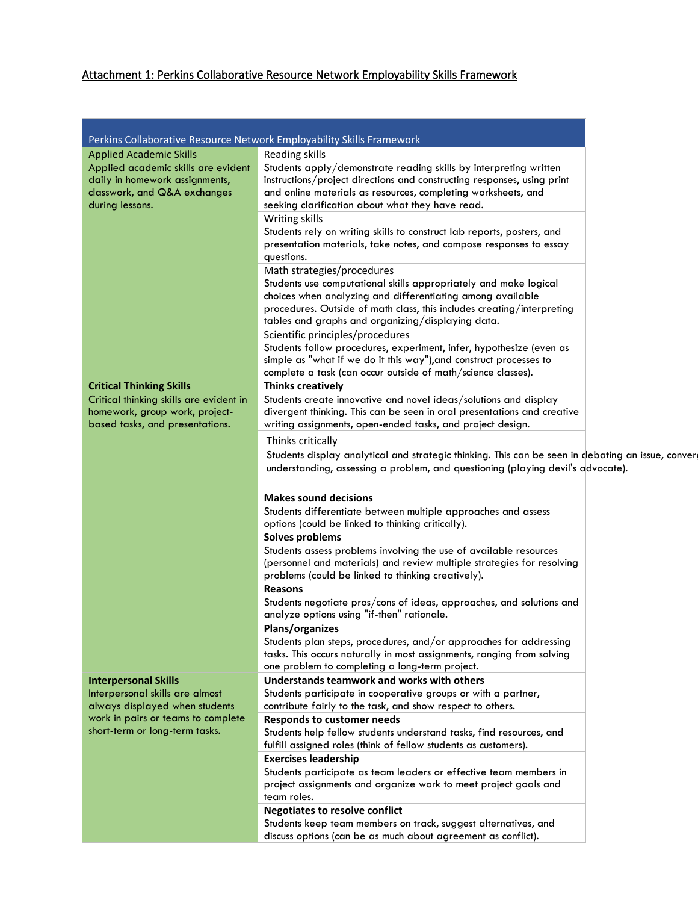## Attachment 1: Perkins Collaborative Resource Network Employability Skills Framework

| Perkins Collaborative Resource Network Employability Skills Framework |                                                                                                   |  |
|-----------------------------------------------------------------------|---------------------------------------------------------------------------------------------------|--|
| <b>Applied Academic Skills</b>                                        | Reading skills                                                                                    |  |
| Applied academic skills are evident                                   | Students apply/demonstrate reading skills by interpreting written                                 |  |
| daily in homework assignments,                                        | instructions/project directions and constructing responses, using print                           |  |
| classwork, and Q&A exchanges                                          | and online materials as resources, completing worksheets, and                                     |  |
| during lessons.                                                       | seeking clarification about what they have read.                                                  |  |
|                                                                       | Writing skills                                                                                    |  |
|                                                                       | Students rely on writing skills to construct lab reports, posters, and                            |  |
|                                                                       | presentation materials, take notes, and compose responses to essay                                |  |
|                                                                       | questions.                                                                                        |  |
|                                                                       | Math strategies/procedures                                                                        |  |
|                                                                       | Students use computational skills appropriately and make logical                                  |  |
|                                                                       | choices when analyzing and differentiating among available                                        |  |
|                                                                       | procedures. Outside of math class, this includes creating/interpreting                            |  |
|                                                                       | tables and graphs and organizing/displaying data.                                                 |  |
|                                                                       | Scientific principles/procedures                                                                  |  |
|                                                                       | Students follow procedures, experiment, infer, hypothesize (even as                               |  |
|                                                                       | simple as "what if we do it this way"), and construct processes to                                |  |
|                                                                       | complete a task (can occur outside of math/science classes).                                      |  |
| <b>Critical Thinking Skills</b>                                       | <b>Thinks creatively</b>                                                                          |  |
| Critical thinking skills are evident in                               | Students create innovative and novel ideas/solutions and display                                  |  |
| homework, group work, project-                                        | divergent thinking. This can be seen in oral presentations and creative                           |  |
| based tasks, and presentations.                                       | writing assignments, open-ended tasks, and project design.                                        |  |
|                                                                       |                                                                                                   |  |
|                                                                       | Thinks critically                                                                                 |  |
|                                                                       | Students display analytical and strategic thinking. This can be seen in debating an issue, conver |  |
|                                                                       | understanding, assessing a problem, and questioning (playing devil's advocate).                   |  |
|                                                                       |                                                                                                   |  |
|                                                                       | <b>Makes sound decisions</b>                                                                      |  |
|                                                                       | Students differentiate between multiple approaches and assess                                     |  |
|                                                                       | options (could be linked to thinking critically).                                                 |  |
|                                                                       | Solves problems                                                                                   |  |
|                                                                       | Students assess problems involving the use of available resources                                 |  |
|                                                                       | (personnel and materials) and review multiple strategies for resolving                            |  |
|                                                                       | problems (could be linked to thinking creatively).                                                |  |
|                                                                       | <b>Reasons</b>                                                                                    |  |
|                                                                       |                                                                                                   |  |
|                                                                       | Students negotiate pros/cons of ideas, approaches, and solutions and                              |  |
|                                                                       | analyze options using "if-then" rationale.                                                        |  |
|                                                                       | Plans/organizes                                                                                   |  |
|                                                                       | Students plan steps, procedures, and/or approaches for addressing                                 |  |
|                                                                       | tasks. This occurs naturally in most assignments, ranging from solving                            |  |
|                                                                       | one problem to completing a long-term project.                                                    |  |
| <b>Interpersonal Skills</b>                                           | Understands teamwork and works with others                                                        |  |
| Interpersonal skills are almost                                       | Students participate in cooperative groups or with a partner,                                     |  |
| always displayed when students                                        | contribute fairly to the task, and show respect to others.                                        |  |
| work in pairs or teams to complete                                    | <b>Responds to customer needs</b>                                                                 |  |
| short-term or long-term tasks.                                        | Students help fellow students understand tasks, find resources, and                               |  |
|                                                                       | fulfill assigned roles (think of fellow students as customers).                                   |  |
|                                                                       | <b>Exercises leadership</b>                                                                       |  |
|                                                                       | Students participate as team leaders or effective team members in                                 |  |
|                                                                       | project assignments and organize work to meet project goals and                                   |  |
|                                                                       | team roles.                                                                                       |  |
|                                                                       | <b>Negotiates to resolve conflict</b>                                                             |  |
|                                                                       | Students keep team members on track, suggest alternatives, and                                    |  |
|                                                                       | discuss options (can be as much about agreement as conflict).                                     |  |
|                                                                       |                                                                                                   |  |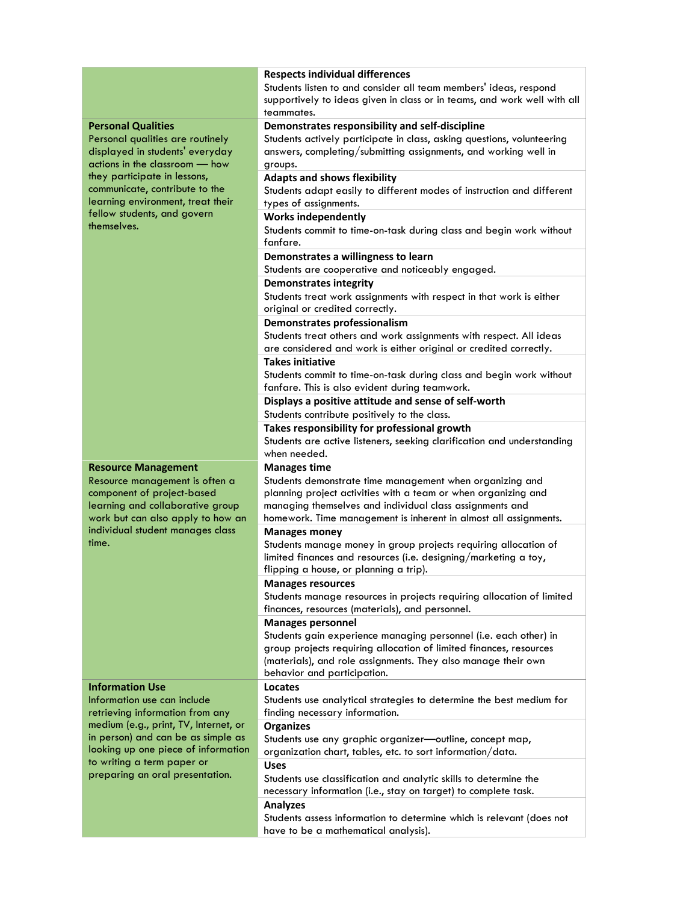|                                                                                                                                                                                                                                                                                         | <b>Respects individual differences</b><br>Students listen to and consider all team members' ideas, respond<br>supportively to ideas given in class or in teams, and work well with all<br>teammates.                                                                              |
|-----------------------------------------------------------------------------------------------------------------------------------------------------------------------------------------------------------------------------------------------------------------------------------------|-----------------------------------------------------------------------------------------------------------------------------------------------------------------------------------------------------------------------------------------------------------------------------------|
| <b>Personal Qualities</b><br>Personal qualities are routinely<br>displayed in students' everyday<br>actions in the classroom - how<br>they participate in lessons,<br>communicate, contribute to the<br>learning environment, treat their<br>fellow students, and govern<br>themselves. | Demonstrates responsibility and self-discipline<br>Students actively participate in class, asking questions, volunteering<br>answers, completing/submitting assignments, and working well in<br>groups.                                                                           |
|                                                                                                                                                                                                                                                                                         | <b>Adapts and shows flexibility</b><br>Students adapt easily to different modes of instruction and different<br>types of assignments.                                                                                                                                             |
|                                                                                                                                                                                                                                                                                         | <b>Works independently</b><br>Students commit to time-on-task during class and begin work without<br>fanfare.                                                                                                                                                                     |
|                                                                                                                                                                                                                                                                                         | Demonstrates a willingness to learn<br>Students are cooperative and noticeably engaged.                                                                                                                                                                                           |
|                                                                                                                                                                                                                                                                                         | <b>Demonstrates integrity</b><br>Students treat work assignments with respect in that work is either<br>original or credited correctly.                                                                                                                                           |
|                                                                                                                                                                                                                                                                                         | Demonstrates professionalism<br>Students treat others and work assignments with respect. All ideas<br>are considered and work is either original or credited correctly.                                                                                                           |
|                                                                                                                                                                                                                                                                                         | <b>Takes initiative</b><br>Students commit to time-on-task during class and begin work without<br>fanfare. This is also evident during teamwork.                                                                                                                                  |
|                                                                                                                                                                                                                                                                                         | Displays a positive attitude and sense of self-worth<br>Students contribute positively to the class.                                                                                                                                                                              |
|                                                                                                                                                                                                                                                                                         | Takes responsibility for professional growth<br>Students are active listeners, seeking clarification and understanding<br>when needed.                                                                                                                                            |
| <b>Resource Management</b><br>Resource management is often a<br>component of project-based<br>learning and collaborative group<br>work but can also apply to how an<br>individual student manages class<br>time.                                                                        | <b>Manages time</b><br>Students demonstrate time management when organizing and<br>planning project activities with a team or when organizing and<br>managing themselves and individual class assignments and<br>homework. Time management is inherent in almost all assignments. |
|                                                                                                                                                                                                                                                                                         | <b>Manages money</b><br>Students manage money in group projects requiring allocation of<br>limited finances and resources (i.e. designing/marketing a toy,<br>flipping a house, or planning a trip).                                                                              |
|                                                                                                                                                                                                                                                                                         | <b>Manages resources</b><br>Students manage resources in projects requiring allocation of limited<br>finances, resources (materials), and personnel.                                                                                                                              |
|                                                                                                                                                                                                                                                                                         | <b>Manages personnel</b><br>Students gain experience managing personnel (i.e. each other) in<br>group projects requiring allocation of limited finances, resources<br>(materials), and role assignments. They also manage their own<br>behavior and participation.                |
| <b>Information Use</b><br>Information use can include<br>retrieving information from any<br>medium (e.g., print, TV, Internet, or<br>in person) and can be as simple as<br>looking up one piece of information<br>to writing a term paper or<br>preparing an oral presentation.         | Locates<br>Students use analytical strategies to determine the best medium for<br>finding necessary information.                                                                                                                                                                  |
|                                                                                                                                                                                                                                                                                         | <b>Organizes</b><br>Students use any graphic organizer-outline, concept map,<br>organization chart, tables, etc. to sort information/data.                                                                                                                                        |
|                                                                                                                                                                                                                                                                                         | <b>Uses</b><br>Students use classification and analytic skills to determine the<br>necessary information (i.e., stay on target) to complete task.                                                                                                                                 |
|                                                                                                                                                                                                                                                                                         | <b>Analyzes</b><br>Students assess information to determine which is relevant (does not<br>have to be a mathematical analysis).                                                                                                                                                   |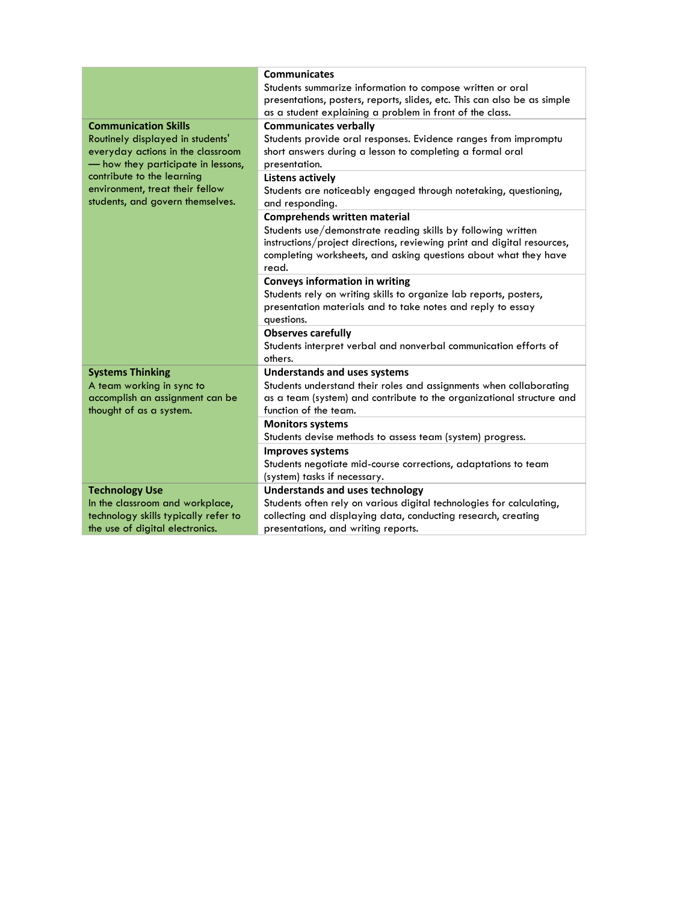|                                      | <b>Communicates</b>                                                      |
|--------------------------------------|--------------------------------------------------------------------------|
|                                      | Students summarize information to compose written or oral                |
|                                      | presentations, posters, reports, slides, etc. This can also be as simple |
|                                      | as a student explaining a problem in front of the class.                 |
| <b>Communication Skills</b>          | <b>Communicates verbally</b>                                             |
| Routinely displayed in students'     | Students provide oral responses. Evidence ranges from impromptu          |
| everyday actions in the classroom    | short answers during a lesson to completing a formal oral                |
| - how they participate in lessons,   | presentation.                                                            |
| contribute to the learning           | <b>Listens actively</b>                                                  |
| environment, treat their fellow      | Students are noticeably engaged through notetaking, questioning,         |
| students, and govern themselves.     | and responding.                                                          |
|                                      | <b>Comprehends written material</b>                                      |
|                                      | Students use/demonstrate reading skills by following written             |
|                                      | instructions/project directions, reviewing print and digital resources,  |
|                                      | completing worksheets, and asking questions about what they have         |
|                                      | read.                                                                    |
|                                      | <b>Conveys information in writing</b>                                    |
|                                      | Students rely on writing skills to organize lab reports, posters,        |
|                                      | presentation materials and to take notes and reply to essay              |
|                                      | questions.                                                               |
|                                      | <b>Observes carefully</b>                                                |
|                                      | Students interpret verbal and nonverbal communication efforts of         |
|                                      | others.                                                                  |
| <b>Systems Thinking</b>              | <b>Understands and uses systems</b>                                      |
| A team working in sync to            | Students understand their roles and assignments when collaborating       |
| accomplish an assignment can be      | as a team (system) and contribute to the organizational structure and    |
| thought of as a system.              | function of the team.                                                    |
|                                      | <b>Monitors systems</b>                                                  |
|                                      | Students devise methods to assess team (system) progress.                |
|                                      | <b>Improves systems</b>                                                  |
|                                      | Students negotiate mid-course corrections, adaptations to team           |
|                                      | (system) tasks if necessary.                                             |
| <b>Technology Use</b>                | <b>Understands and uses technology</b>                                   |
| In the classroom and workplace,      | Students often rely on various digital technologies for calculating,     |
| technology skills typically refer to | collecting and displaying data, conducting research, creating            |
| the use of digital electronics.      | presentations, and writing reports.                                      |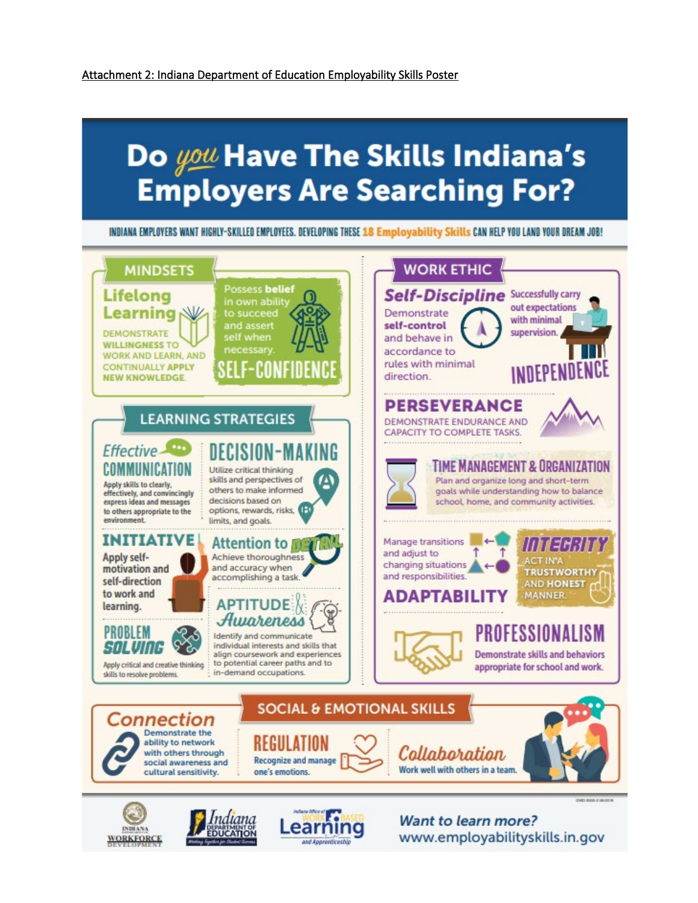# Do you Have The Skills Indiana's **Employers Are Searching For?**

INDIANA EMPLOYERS WANT HIGHLY-SKILLED EMPLOYEES. DEVELOPING THESE 18 Employability Skills CAN HELP YOU LAND YOUR DREAM JOB!



and Aparenticeshi

**WORKFORCE** 

www.employabilityskills.in.gov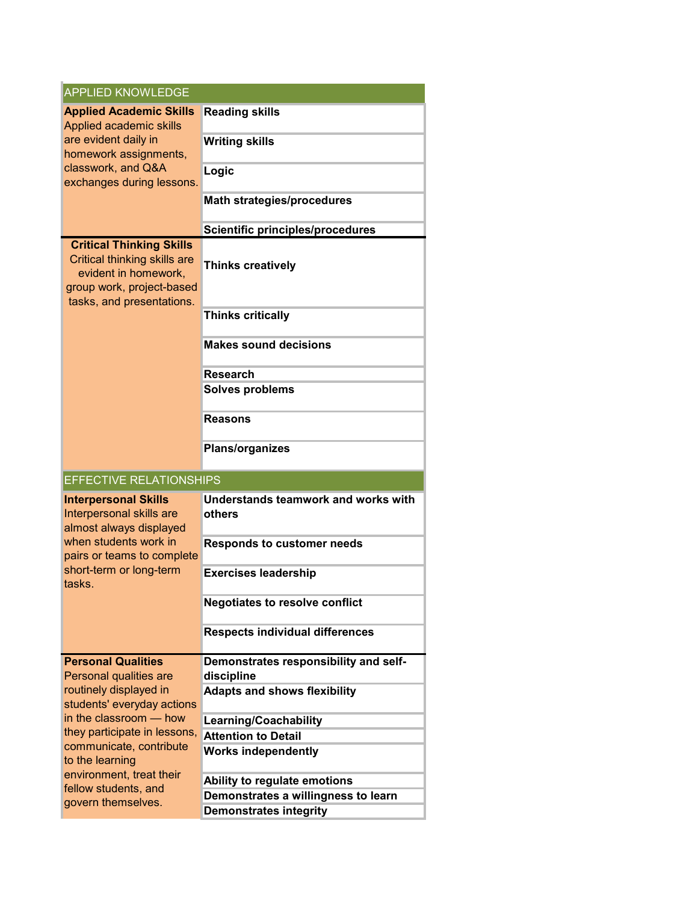| <b>APPLIED KNOWLEDGE</b>                                                                                                                                                       |                                               |  |
|--------------------------------------------------------------------------------------------------------------------------------------------------------------------------------|-----------------------------------------------|--|
| <b>Applied Academic Skills</b><br>Applied academic skills<br>are evident daily in<br>homework assignments,<br>classwork, and Q&A<br>exchanges during lessons.                  | <b>Reading skills</b>                         |  |
|                                                                                                                                                                                | <b>Writing skills</b>                         |  |
|                                                                                                                                                                                | Logic<br><b>Math strategies/procedures</b>    |  |
|                                                                                                                                                                                |                                               |  |
|                                                                                                                                                                                | <b>Scientific principles/procedures</b>       |  |
| <b>Critical Thinking Skills</b><br>Critical thinking skills are<br>evident in homework,<br>group work, project-based<br>tasks, and presentations.                              | <b>Thinks creatively</b>                      |  |
|                                                                                                                                                                                | <b>Thinks critically</b>                      |  |
|                                                                                                                                                                                | <b>Makes sound decisions</b>                  |  |
|                                                                                                                                                                                | <b>Research</b>                               |  |
|                                                                                                                                                                                | <b>Solves problems</b>                        |  |
|                                                                                                                                                                                | <b>Reasons</b>                                |  |
|                                                                                                                                                                                | <b>Plans/organizes</b>                        |  |
| <b>EFFECTIVE RELATIONSHIPS</b>                                                                                                                                                 |                                               |  |
| <b>Interpersonal Skills</b><br>Interpersonal skills are<br>almost always displayed<br>when students work in<br>pairs or teams to complete<br>short-term or long-term<br>tasks. | Understands teamwork and works with<br>others |  |
|                                                                                                                                                                                | <b>Responds to customer needs</b>             |  |
|                                                                                                                                                                                | <b>Exercises leadership</b>                   |  |
|                                                                                                                                                                                | <b>Negotiates to resolve conflict</b>         |  |
|                                                                                                                                                                                | <b>Respects individual differences</b>        |  |
| <b>Personal Qualities</b>                                                                                                                                                      | Demonstrates responsibility and self-         |  |
| Personal qualities are                                                                                                                                                         | discipline                                    |  |
| routinely displayed in<br>students' everyday actions                                                                                                                           | <b>Adapts and shows flexibility</b>           |  |
| in the classroom – how                                                                                                                                                         | Learning/Coachability                         |  |
| they participate in lessons,                                                                                                                                                   | <b>Attention to Detail</b>                    |  |
| communicate, contribute                                                                                                                                                        | <b>Works independently</b>                    |  |
| to the learning                                                                                                                                                                |                                               |  |
| environment, treat their                                                                                                                                                       | Ability to regulate emotions                  |  |
| fellow students, and<br>govern themselves.                                                                                                                                     | Demonstrates a willingness to learn           |  |
|                                                                                                                                                                                | <b>Demonstrates integrity</b>                 |  |